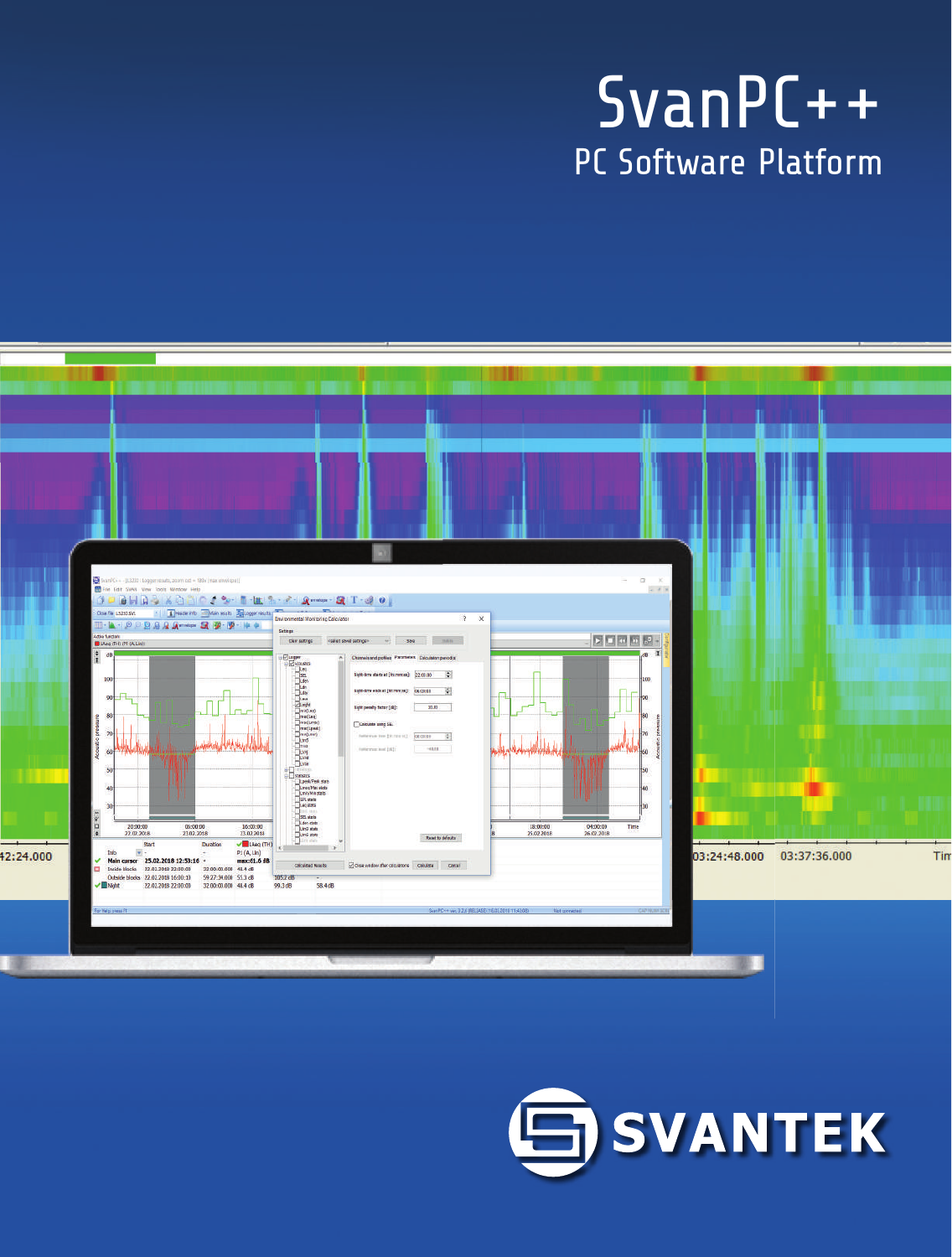# SvanPC++ PC Software Platform



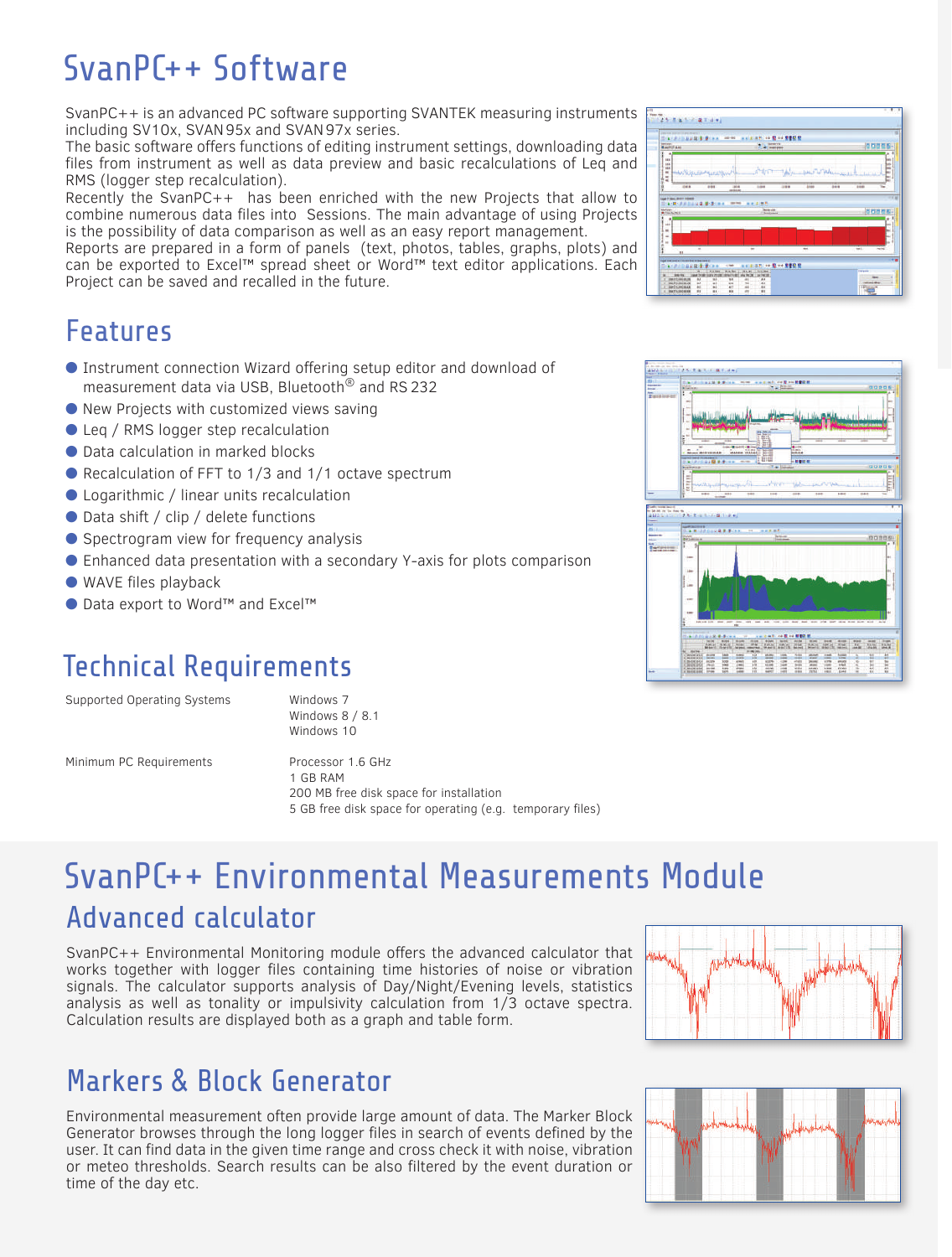# SvanPC++ Software

SvanPC++ is an advanced PC software supporting SVANTEK measuring instruments including SV10x, SVAN 95x and SVAN 97x series.

The basic software offers functions of editing instrument settings, downloading data files from instrument as well as data preview and basic recalculations of Leq and RMS (logger step recalculation).

Recently the SvanPC++ has been enriched with the new Projects that allow to combine numerous data files into Sessions. The main advantage of using Projects is the possibility of data comparison as well as an easy report management.

Reports are prepared in a form of panels (text, photos, tables, graphs, plots) and can be exported to Excel™ spread sheet or Word™ text editor applications. Each Project can be saved and recalled in the future.

### Features

- Instrument connection Wizard offering setup editor and download of measurement data via USB, Bluetooth® and RS 232
- New Projects with customized views saving
- Leg / RMS logger step recalculation
- Data calculation in marked blocks
- Recalculation of FFT to 1/3 and 1/1 octave spectrum
- Logarithmic / linear units recalculation
- Data shift / clip / delete functions
- Spectrogram view for frequency analysis
- Enhanced data presentation with a secondary Y-axis for plots comparison
- WAVE files playback
- Data export to Word™ and Excel™

### Technical Requirements

Supported Operating Systems Windows 7

 Windows 8 / 8.1 Windows 10

Minimum PC Requirements Processor 1.6 GHz

 1 GB RAM 200 MB free disk space for installation 5 GB free disk space for operating (e.g. temporary files)

### SvanPC++ Environmental Measurements Module Advanced calculator

SvanPC++ Environmental Monitoring module offers the advanced calculator that works together with logger files containing time histories of noise or vibration signals. The calculator supports analysis of Day/Night/Evening levels, statistics analysis as well as tonality or impulsivity calculation from 1/3 octave spectra. Calculation results are displayed both as a graph and table form.

### Markers & Block Generator

Environmental measurement often provide large amount of data. The Marker Block Generator browses through the long logger files in search of events defined by the user. It can find data in the given time range and cross check it with noise, vibration or meteo thresholds. Search results can be also filtered by the event duration or time of the day etc.



 $\frac{1}{2}$  ( ) ( ) ( ) ( ) ( ) ( ) ( ) ( ) (





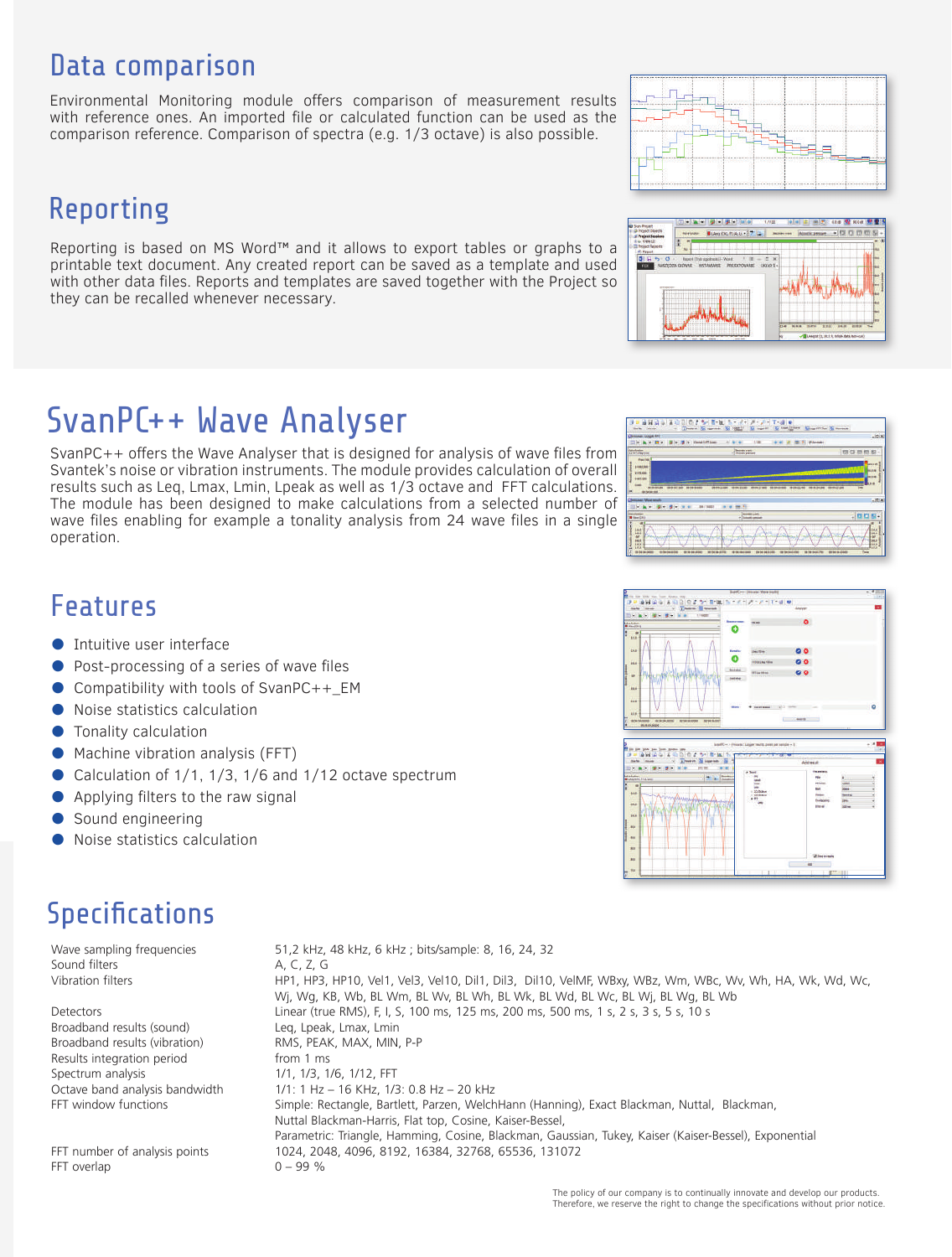### Data comparison

Environmental Monitoring module offers comparison of measurement results with reference ones. An imported file or calculated function can be used as the comparison reference. Comparison of spectra (e.g. 1/3 octave) is also possible.

### Reporting

Reporting is based on MS Word™ and it allows to export tables or graphs to a printable text document. Any created report can be saved as a template and used with other data files. Reports and templates are saved together with the Project so they can be recalled whenever necessary.

### SvanPC++ Wave Analyser

Svantek's noise or vibration instruments. The module provides calculation of overall results such as Leq, Lmax, Lmin, Lpeak as well as 1/3 octave and FFT calculations. The module has been designed to make calculations from a selected number of wave files enabling for example a tonality analysis from 24 wave files in a single operation.

### $-100 - 100$ ö  $\bullet$ ō  $\bullet$  $\bullet$



Wave sampling frequencies 51,2 kHz, 48 kHz, 6 kHz ; bits/sample: 8, 16, 24, 32<br>Sound filters 6. A, C, Z, G Sound filters Vibration filters **HP1, HP3, HP10, Vel1, Vel3, Vel10, Dil1, Dil3, Dil10, VelMF, WBxy, WBz, Wm, WBc, Wv, Wh, HA, Wk, Wd, Wc**, Wj, Wg, KB, Wb, BL Wm, BL Wv, BL Wh, BL Wk, BL Wd, BL Wc, BL Wj, BL Wg, BL Wb Detectors Linear (true RMS), F, I, S, 100 ms, 125 ms, 200 ms, 500 ms, 1 s, 2 s, 3 s, 5 s, 10 s Broadband results (sound) Leq, Lpeak, Lmax, Lmin Broadband results (vibration) RMS, PEAK, MAX, MIN, P-P Results integration period from 1 ms Spectrum analysis 1/1, 1/3, 1/6, 1/12, FFT Octave band analysis bandwidth 1/1: 1 Hz – 16 KHz, 1/3: 0.8 Hz – 20 kHz FFT window functions Simple: Rectangle, Bartlett, Parzen, WelchHann (Hanning), Exact Blackman, Nuttal, Blackman, Nuttal Blackman-Harris, Flat top, Cosine, Kaiser-Bessel, Parametric: Triangle, Hamming, Cosine, Blackman, Gaussian, Tukey, Kaiser (Kaiser-Bessel), Exponential FFT number of analysis points 1024, 2048, 4096, 8192, 16384, 32768, 65536, 131072

SvanPC++ offers the Wave Analyser that is designed for analysis of wave files from

# Features

- **Intuitive user interface**
- Post-processing of a series of wave files
- Compatibility with tools of SvanPC++ EM
- Noise statistics calculation
- **•** Tonality calculation
- Machine vibration analysis (FFT)
- $\bullet$  Calculation of 1/1, 1/3, 1/6 and 1/12 octave spectrum
- Applying filters to the raw signal

FFT overlap  $0 - 99 \%$ 

- Sound engineering
- Noise statistics calculation





 $1112$